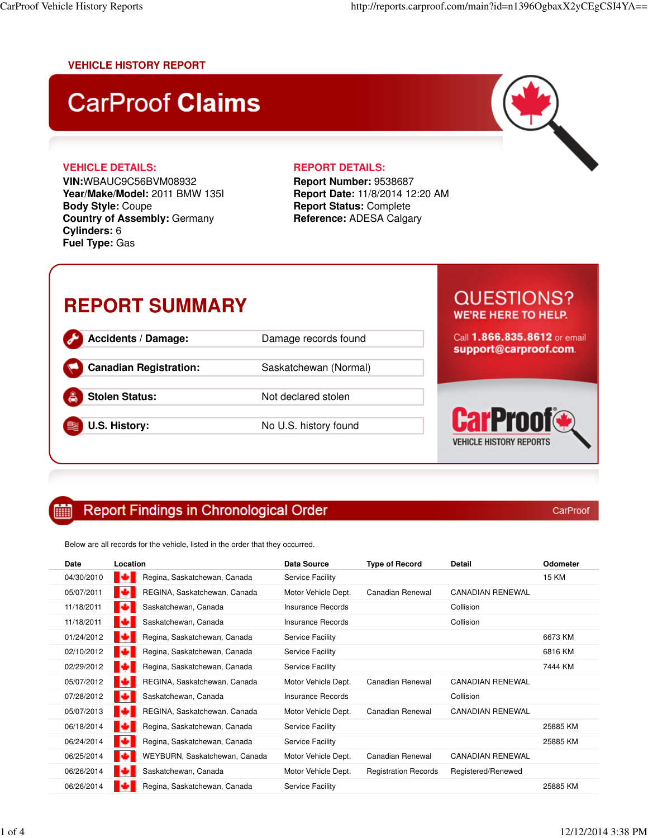### **VEHICLE HISTORY REPORT**

# **CarProof Claims**



**VIN:**WBAUC9C56BVM08932 **Year/Make/Model:** 2011 BMW 135I **Body Style:** Coupe **Country of Assembly:** Germany **Cylinders:** 6 **Fuel Type:** Gas

**Report Number:** 9538687 **Report Date:** 11/8/2014 12:20 AM **Report Status:** Complete **Reference:** ADESA Calgary

## **REPORT SUMMARY**

**Accidents / Damage:** Damage records found **Canadian Registration:** Saskatchewan (Normal)

**Stolen Status:** Not declared stolen

**U.S. History:** No U.S. history found

### **QUESTIONS? WE'RE HERE TO HELP.**

 $\overline{\phantom{0}}$ 

Call 1.866.835.8612 or email support@carproof.com.

CarProot **VEHICLE HISTORY REPORTS** 

CarProof

#### **Report Findings in Chronological Order** m

Below are all records for the vehicle, listed in the order that they occurred.

| Date       | Location                           | <b>Data Source</b>      | <b>Type of Record</b>       | Detail                  | <b>Odometer</b> |
|------------|------------------------------------|-------------------------|-----------------------------|-------------------------|-----------------|
| 04/30/2010 | ю<br>Regina, Saskatchewan, Canada  | <b>Service Facility</b> |                             |                         | <b>15 KM</b>    |
| 05/07/2011 | REGINA, Saskatchewan, Canada<br>ТO | Motor Vehicle Dept.     | Canadian Renewal            | <b>CANADIAN RENEWAL</b> |                 |
| 11/18/2011 | Saskatchewan, Canada               | Insurance Records       |                             | Collision               |                 |
| 11/18/2011 | Saskatchewan, Canada               | Insurance Records       |                             | Collision               |                 |
| 01/24/2012 | Regina, Saskatchewan, Canada<br>ю  | <b>Service Facility</b> |                             |                         | 6673 KM         |
| 02/10/2012 | Regina, Saskatchewan, Canada       | Service Facility        |                             |                         | 6816 KM         |
| 02/29/2012 | шa<br>Regina, Saskatchewan, Canada | <b>Service Facility</b> |                             |                         | 7444 KM         |
| 05/07/2012 | REGINA, Saskatchewan, Canada<br>IЮ | Motor Vehicle Dept.     | Canadian Renewal            | <b>CANADIAN RENEWAL</b> |                 |
| 07/28/2012 | ю<br>Saskatchewan, Canada          | Insurance Records       |                             | Collision               |                 |
| 05/07/2013 | REGINA, Saskatchewan, Canada<br>œ  | Motor Vehicle Dept.     | Canadian Renewal            | <b>CANADIAN RENEWAL</b> |                 |
| 06/18/2014 | ю<br>Regina, Saskatchewan, Canada  | Service Facility        |                             |                         | 25885 KM        |
| 06/24/2014 | ю<br>Regina, Saskatchewan, Canada  | Service Facility        |                             |                         | 25885 KM        |
| 06/25/2014 | WEYBURN, Saskatchewan, Canada      | Motor Vehicle Dept.     | Canadian Renewal            | <b>CANADIAN RENEWAL</b> |                 |
| 06/26/2014 | Saskatchewan, Canada<br>ю          | Motor Vehicle Dept.     | <b>Registration Records</b> | Registered/Renewed      |                 |
| 06/26/2014 | Regina, Saskatchewan, Canada       | Service Facility        |                             |                         | 25885 KM        |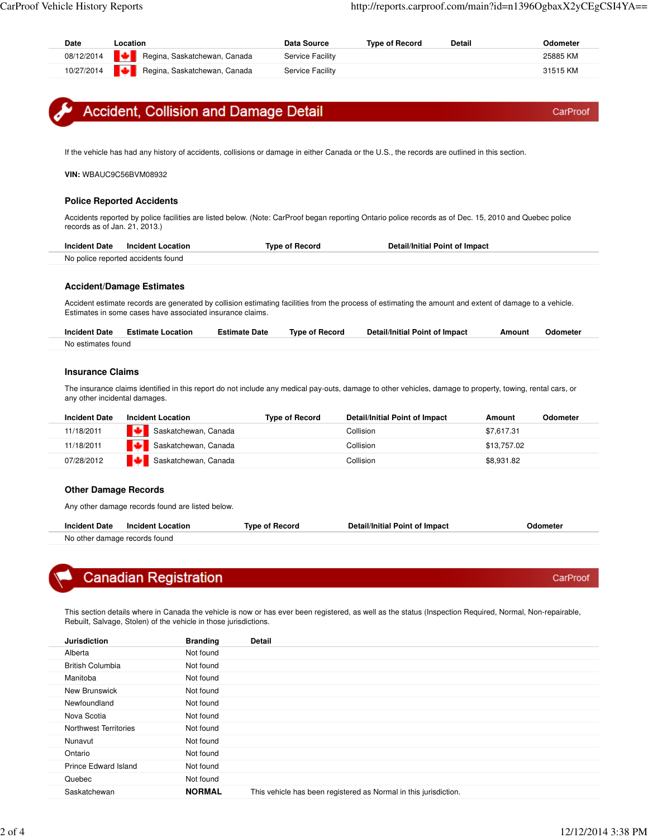| Regina, Saskatchewan, Canada<br>Regina, Saskatchewan, Canada<br>Service Facility<br>31515 KM<br>Accident, Collision and Damage Detail<br>If the vehicle has had any history of accidents, collisions or damage in either Canada or the U.S., the records are outlined in this section.<br>VIN: WBAUC9C56BVM08932<br><b>Police Reported Accidents</b><br>Accidents reported by police facilities are listed below. (Note: CarProof began reporting Ontario police records as of Dec. 15, 2010 and Quebec police<br>records as of Jan. 21, 2013.)<br><b>Incident Date</b><br><b>Incident Location</b><br><b>Type of Record</b><br><b>Detail/Initial Point of Impact</b><br>No police reported accidents found<br><b>Accident/Damage Estimates</b><br>Accident estimate records are generated by collision estimating facilities from the process of estimating the amount and extent of damage to a vehicle.<br>Estimates in some cases have associated insurance claims.<br><b>Incident Date</b><br><b>Type of Record</b><br><b>Detail/Initial Point of Impact</b><br><b>Estimate Location</b><br><b>Estimate Date</b><br>Amount<br>Odometer<br>No estimates found<br><b>Insurance Claims</b><br>The insurance claims identified in this report do not include any medical pay-outs, damage to other vehicles, damage to property, towing, rental cars, or<br>any other incidental damages.<br><b>Incident Location</b><br><b>Type of Record</b><br><b>Detail/Initial Point of Impact</b><br>Amount<br>Saskatchewan, Canada<br>Collision<br>\$7,617.31<br>Saskatchewan, Canada<br>Collision<br>\$13,757.02<br>Saskatchewan, Canada<br>Collision<br>\$8,931.82<br><b>Other Damage Records</b><br>Any other damage records found are listed below.<br><b>Incident Date</b><br><b>Incident Location</b><br><b>Type of Record</b><br>Detail/Initial Point of Impact<br>Odometer<br>No other damage records found<br><b>Canadian Registration</b><br>This section details where in Canada the vehicle is now or has ever been registered, as well as the status (Inspection Required, Normal, Non-repairable,<br>Rebuilt, Salvage, Stolen) of the vehicle in those jurisdictions.<br>Detail<br><b>Branding</b><br>Not found<br><b>British Columbia</b><br>Not found<br>Not found<br>New Brunswick<br>Not found<br>Not found<br>Not found<br>Northwest Territories<br>Not found<br>Not found<br>Not found<br><b>Prince Edward Island</b><br>Not found |                                                            | Location | <b>Data Source</b>      | <b>Type of Record</b> | Detail | Odometer |
|------------------------------------------------------------------------------------------------------------------------------------------------------------------------------------------------------------------------------------------------------------------------------------------------------------------------------------------------------------------------------------------------------------------------------------------------------------------------------------------------------------------------------------------------------------------------------------------------------------------------------------------------------------------------------------------------------------------------------------------------------------------------------------------------------------------------------------------------------------------------------------------------------------------------------------------------------------------------------------------------------------------------------------------------------------------------------------------------------------------------------------------------------------------------------------------------------------------------------------------------------------------------------------------------------------------------------------------------------------------------------------------------------------------------------------------------------------------------------------------------------------------------------------------------------------------------------------------------------------------------------------------------------------------------------------------------------------------------------------------------------------------------------------------------------------------------------------------------------------------------------------------------------------------------------------------------------------------------------------------------------------------------------------------------------------------------------------------------------------------------------------------------------------------------------------------------------------------------------------------------------------------------------------------------------------------------------------------------------------------------------------------------------------------------------------------------|------------------------------------------------------------|----------|-------------------------|-----------------------|--------|----------|
|                                                                                                                                                                                                                                                                                                                                                                                                                                                                                                                                                                                                                                                                                                                                                                                                                                                                                                                                                                                                                                                                                                                                                                                                                                                                                                                                                                                                                                                                                                                                                                                                                                                                                                                                                                                                                                                                                                                                                                                                                                                                                                                                                                                                                                                                                                                                                                                                                                                | 08/12/2014                                                 |          | <b>Service Facility</b> |                       |        | 25885 KM |
|                                                                                                                                                                                                                                                                                                                                                                                                                                                                                                                                                                                                                                                                                                                                                                                                                                                                                                                                                                                                                                                                                                                                                                                                                                                                                                                                                                                                                                                                                                                                                                                                                                                                                                                                                                                                                                                                                                                                                                                                                                                                                                                                                                                                                                                                                                                                                                                                                                                | 10/27/2014                                                 |          |                         |                       |        |          |
|                                                                                                                                                                                                                                                                                                                                                                                                                                                                                                                                                                                                                                                                                                                                                                                                                                                                                                                                                                                                                                                                                                                                                                                                                                                                                                                                                                                                                                                                                                                                                                                                                                                                                                                                                                                                                                                                                                                                                                                                                                                                                                                                                                                                                                                                                                                                                                                                                                                |                                                            |          |                         |                       |        | CarProof |
|                                                                                                                                                                                                                                                                                                                                                                                                                                                                                                                                                                                                                                                                                                                                                                                                                                                                                                                                                                                                                                                                                                                                                                                                                                                                                                                                                                                                                                                                                                                                                                                                                                                                                                                                                                                                                                                                                                                                                                                                                                                                                                                                                                                                                                                                                                                                                                                                                                                |                                                            |          |                         |                       |        |          |
|                                                                                                                                                                                                                                                                                                                                                                                                                                                                                                                                                                                                                                                                                                                                                                                                                                                                                                                                                                                                                                                                                                                                                                                                                                                                                                                                                                                                                                                                                                                                                                                                                                                                                                                                                                                                                                                                                                                                                                                                                                                                                                                                                                                                                                                                                                                                                                                                                                                |                                                            |          |                         |                       |        |          |
|                                                                                                                                                                                                                                                                                                                                                                                                                                                                                                                                                                                                                                                                                                                                                                                                                                                                                                                                                                                                                                                                                                                                                                                                                                                                                                                                                                                                                                                                                                                                                                                                                                                                                                                                                                                                                                                                                                                                                                                                                                                                                                                                                                                                                                                                                                                                                                                                                                                |                                                            |          |                         |                       |        |          |
|                                                                                                                                                                                                                                                                                                                                                                                                                                                                                                                                                                                                                                                                                                                                                                                                                                                                                                                                                                                                                                                                                                                                                                                                                                                                                                                                                                                                                                                                                                                                                                                                                                                                                                                                                                                                                                                                                                                                                                                                                                                                                                                                                                                                                                                                                                                                                                                                                                                |                                                            |          |                         |                       |        |          |
|                                                                                                                                                                                                                                                                                                                                                                                                                                                                                                                                                                                                                                                                                                                                                                                                                                                                                                                                                                                                                                                                                                                                                                                                                                                                                                                                                                                                                                                                                                                                                                                                                                                                                                                                                                                                                                                                                                                                                                                                                                                                                                                                                                                                                                                                                                                                                                                                                                                |                                                            |          |                         |                       |        |          |
|                                                                                                                                                                                                                                                                                                                                                                                                                                                                                                                                                                                                                                                                                                                                                                                                                                                                                                                                                                                                                                                                                                                                                                                                                                                                                                                                                                                                                                                                                                                                                                                                                                                                                                                                                                                                                                                                                                                                                                                                                                                                                                                                                                                                                                                                                                                                                                                                                                                |                                                            |          |                         |                       |        |          |
|                                                                                                                                                                                                                                                                                                                                                                                                                                                                                                                                                                                                                                                                                                                                                                                                                                                                                                                                                                                                                                                                                                                                                                                                                                                                                                                                                                                                                                                                                                                                                                                                                                                                                                                                                                                                                                                                                                                                                                                                                                                                                                                                                                                                                                                                                                                                                                                                                                                |                                                            |          |                         |                       |        |          |
|                                                                                                                                                                                                                                                                                                                                                                                                                                                                                                                                                                                                                                                                                                                                                                                                                                                                                                                                                                                                                                                                                                                                                                                                                                                                                                                                                                                                                                                                                                                                                                                                                                                                                                                                                                                                                                                                                                                                                                                                                                                                                                                                                                                                                                                                                                                                                                                                                                                |                                                            |          |                         |                       |        |          |
|                                                                                                                                                                                                                                                                                                                                                                                                                                                                                                                                                                                                                                                                                                                                                                                                                                                                                                                                                                                                                                                                                                                                                                                                                                                                                                                                                                                                                                                                                                                                                                                                                                                                                                                                                                                                                                                                                                                                                                                                                                                                                                                                                                                                                                                                                                                                                                                                                                                |                                                            |          |                         |                       |        |          |
|                                                                                                                                                                                                                                                                                                                                                                                                                                                                                                                                                                                                                                                                                                                                                                                                                                                                                                                                                                                                                                                                                                                                                                                                                                                                                                                                                                                                                                                                                                                                                                                                                                                                                                                                                                                                                                                                                                                                                                                                                                                                                                                                                                                                                                                                                                                                                                                                                                                | <b>Incident Date</b><br>11/18/2011                         |          |                         |                       |        | Odometer |
|                                                                                                                                                                                                                                                                                                                                                                                                                                                                                                                                                                                                                                                                                                                                                                                                                                                                                                                                                                                                                                                                                                                                                                                                                                                                                                                                                                                                                                                                                                                                                                                                                                                                                                                                                                                                                                                                                                                                                                                                                                                                                                                                                                                                                                                                                                                                                                                                                                                | 11/18/2011                                                 |          |                         |                       |        |          |
|                                                                                                                                                                                                                                                                                                                                                                                                                                                                                                                                                                                                                                                                                                                                                                                                                                                                                                                                                                                                                                                                                                                                                                                                                                                                                                                                                                                                                                                                                                                                                                                                                                                                                                                                                                                                                                                                                                                                                                                                                                                                                                                                                                                                                                                                                                                                                                                                                                                | 07/28/2012                                                 |          |                         |                       |        |          |
|                                                                                                                                                                                                                                                                                                                                                                                                                                                                                                                                                                                                                                                                                                                                                                                                                                                                                                                                                                                                                                                                                                                                                                                                                                                                                                                                                                                                                                                                                                                                                                                                                                                                                                                                                                                                                                                                                                                                                                                                                                                                                                                                                                                                                                                                                                                                                                                                                                                |                                                            |          |                         |                       |        |          |
|                                                                                                                                                                                                                                                                                                                                                                                                                                                                                                                                                                                                                                                                                                                                                                                                                                                                                                                                                                                                                                                                                                                                                                                                                                                                                                                                                                                                                                                                                                                                                                                                                                                                                                                                                                                                                                                                                                                                                                                                                                                                                                                                                                                                                                                                                                                                                                                                                                                |                                                            |          |                         |                       |        |          |
|                                                                                                                                                                                                                                                                                                                                                                                                                                                                                                                                                                                                                                                                                                                                                                                                                                                                                                                                                                                                                                                                                                                                                                                                                                                                                                                                                                                                                                                                                                                                                                                                                                                                                                                                                                                                                                                                                                                                                                                                                                                                                                                                                                                                                                                                                                                                                                                                                                                |                                                            |          |                         |                       |        |          |
|                                                                                                                                                                                                                                                                                                                                                                                                                                                                                                                                                                                                                                                                                                                                                                                                                                                                                                                                                                                                                                                                                                                                                                                                                                                                                                                                                                                                                                                                                                                                                                                                                                                                                                                                                                                                                                                                                                                                                                                                                                                                                                                                                                                                                                                                                                                                                                                                                                                |                                                            |          |                         |                       |        |          |
|                                                                                                                                                                                                                                                                                                                                                                                                                                                                                                                                                                                                                                                                                                                                                                                                                                                                                                                                                                                                                                                                                                                                                                                                                                                                                                                                                                                                                                                                                                                                                                                                                                                                                                                                                                                                                                                                                                                                                                                                                                                                                                                                                                                                                                                                                                                                                                                                                                                |                                                            |          |                         |                       |        |          |
|                                                                                                                                                                                                                                                                                                                                                                                                                                                                                                                                                                                                                                                                                                                                                                                                                                                                                                                                                                                                                                                                                                                                                                                                                                                                                                                                                                                                                                                                                                                                                                                                                                                                                                                                                                                                                                                                                                                                                                                                                                                                                                                                                                                                                                                                                                                                                                                                                                                |                                                            |          |                         |                       |        |          |
|                                                                                                                                                                                                                                                                                                                                                                                                                                                                                                                                                                                                                                                                                                                                                                                                                                                                                                                                                                                                                                                                                                                                                                                                                                                                                                                                                                                                                                                                                                                                                                                                                                                                                                                                                                                                                                                                                                                                                                                                                                                                                                                                                                                                                                                                                                                                                                                                                                                |                                                            |          |                         |                       |        |          |
|                                                                                                                                                                                                                                                                                                                                                                                                                                                                                                                                                                                                                                                                                                                                                                                                                                                                                                                                                                                                                                                                                                                                                                                                                                                                                                                                                                                                                                                                                                                                                                                                                                                                                                                                                                                                                                                                                                                                                                                                                                                                                                                                                                                                                                                                                                                                                                                                                                                |                                                            |          |                         |                       |        | CarProof |
|                                                                                                                                                                                                                                                                                                                                                                                                                                                                                                                                                                                                                                                                                                                                                                                                                                                                                                                                                                                                                                                                                                                                                                                                                                                                                                                                                                                                                                                                                                                                                                                                                                                                                                                                                                                                                                                                                                                                                                                                                                                                                                                                                                                                                                                                                                                                                                                                                                                |                                                            |          |                         |                       |        |          |
|                                                                                                                                                                                                                                                                                                                                                                                                                                                                                                                                                                                                                                                                                                                                                                                                                                                                                                                                                                                                                                                                                                                                                                                                                                                                                                                                                                                                                                                                                                                                                                                                                                                                                                                                                                                                                                                                                                                                                                                                                                                                                                                                                                                                                                                                                                                                                                                                                                                |                                                            |          |                         |                       |        |          |
|                                                                                                                                                                                                                                                                                                                                                                                                                                                                                                                                                                                                                                                                                                                                                                                                                                                                                                                                                                                                                                                                                                                                                                                                                                                                                                                                                                                                                                                                                                                                                                                                                                                                                                                                                                                                                                                                                                                                                                                                                                                                                                                                                                                                                                                                                                                                                                                                                                                | <b>Jurisdiction</b><br>Alberta<br>Manitoba<br>Newfoundland |          |                         |                       |        |          |
|                                                                                                                                                                                                                                                                                                                                                                                                                                                                                                                                                                                                                                                                                                                                                                                                                                                                                                                                                                                                                                                                                                                                                                                                                                                                                                                                                                                                                                                                                                                                                                                                                                                                                                                                                                                                                                                                                                                                                                                                                                                                                                                                                                                                                                                                                                                                                                                                                                                |                                                            |          |                         |                       |        |          |
|                                                                                                                                                                                                                                                                                                                                                                                                                                                                                                                                                                                                                                                                                                                                                                                                                                                                                                                                                                                                                                                                                                                                                                                                                                                                                                                                                                                                                                                                                                                                                                                                                                                                                                                                                                                                                                                                                                                                                                                                                                                                                                                                                                                                                                                                                                                                                                                                                                                | Nova Scotia<br>Nunavut                                     |          |                         |                       |        |          |
|                                                                                                                                                                                                                                                                                                                                                                                                                                                                                                                                                                                                                                                                                                                                                                                                                                                                                                                                                                                                                                                                                                                                                                                                                                                                                                                                                                                                                                                                                                                                                                                                                                                                                                                                                                                                                                                                                                                                                                                                                                                                                                                                                                                                                                                                                                                                                                                                                                                | Ontario                                                    |          |                         |                       |        |          |

Quebec Not found

Saskatchewan **NORMAL** This vehicle has been registered as Normal in this jurisdiction.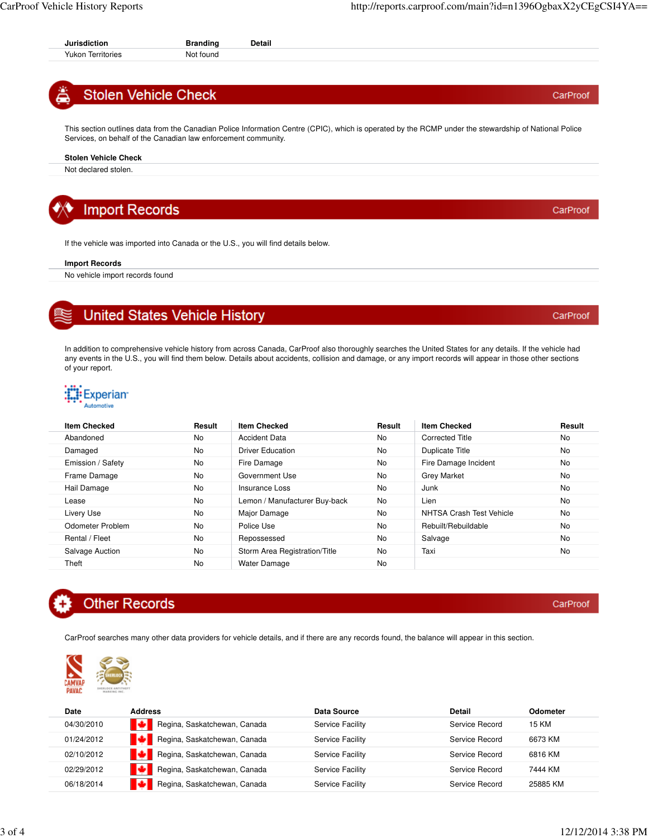### **Stolen Vehicle Check**

This section outlines data from the Canadian Police Information Centre (CPIC), which is operated by the RCMP under the stewardship of National Police Services, on behalf of the Canadian law enforcement community.

#### **Stolen Vehicle Check**

Not declared stolen.

### **Import Records**

If the vehicle was imported into Canada or the U.S., you will find details below.

#### **Import Records**

No vehicle import records found

### **United States Vehicle History**

In addition to comprehensive vehicle history from across Canada, CarProof also thoroughly searches the United States for any details. If the vehicle had any events in the U.S., you will find them below. Details about accidents, collision and damage, or any import records will appear in those other sections of your report.



| <b>Item Checked</b> | Result | <b>Item Checked</b>           | Result    | <b>Item Checked</b>      | Result    |
|---------------------|--------|-------------------------------|-----------|--------------------------|-----------|
| Abandoned           | No.    | Accident Data                 | No.       | <b>Corrected Title</b>   | <b>No</b> |
| Damaged             | No.    | Driver Education              | <b>No</b> | Duplicate Title          | <b>No</b> |
| Emission / Safety   | No.    | Fire Damage                   | <b>No</b> | Fire Damage Incident     | <b>No</b> |
| Frame Damage        | No.    | Government Use                | <b>No</b> | <b>Grey Market</b>       | <b>No</b> |
| Hail Damage         | No.    | Insurance Loss                | <b>No</b> | Junk                     | <b>No</b> |
| Lease               | No.    | Lemon / Manufacturer Buy-back | <b>No</b> | Lien                     | <b>No</b> |
| Livery Use          | No.    | Major Damage                  | No.       | NHTSA Crash Test Vehicle | No        |
| Odometer Problem    | No.    | Police Use                    | <b>No</b> | Rebuilt/Rebuildable      | <b>No</b> |
| Rental / Fleet      | No.    | Repossessed                   | <b>No</b> | Salvage                  | <b>No</b> |
| Salvage Auction     | No.    | Storm Area Registration/Title | <b>No</b> | Taxi                     | <b>No</b> |
| Theft               | No.    | <b>Water Damage</b>           | <b>No</b> |                          |           |



CarProof searches many other data providers for vehicle details, and if there are any records found, the balance will appear in this section.



| Date       | <b>Address</b>               | Data Source      | Detail         | <b>Odometer</b> |
|------------|------------------------------|------------------|----------------|-----------------|
| 04/30/2010 | Regina, Saskatchewan, Canada | Service Facility | Service Record | 15 KM           |
| 01/24/2012 | Regina, Saskatchewan, Canada | Service Facility | Service Record | 6673 KM         |
| 02/10/2012 | Regina, Saskatchewan, Canada | Service Facility | Service Record | 6816 KM         |
| 02/29/2012 | Regina, Saskatchewan, Canada | Service Facility | Service Record | 7444 KM         |
| 06/18/2014 | Regina, Saskatchewan, Canada | Service Facility | Service Record | 25885 KM        |

CarProof

CarProof

CarProof